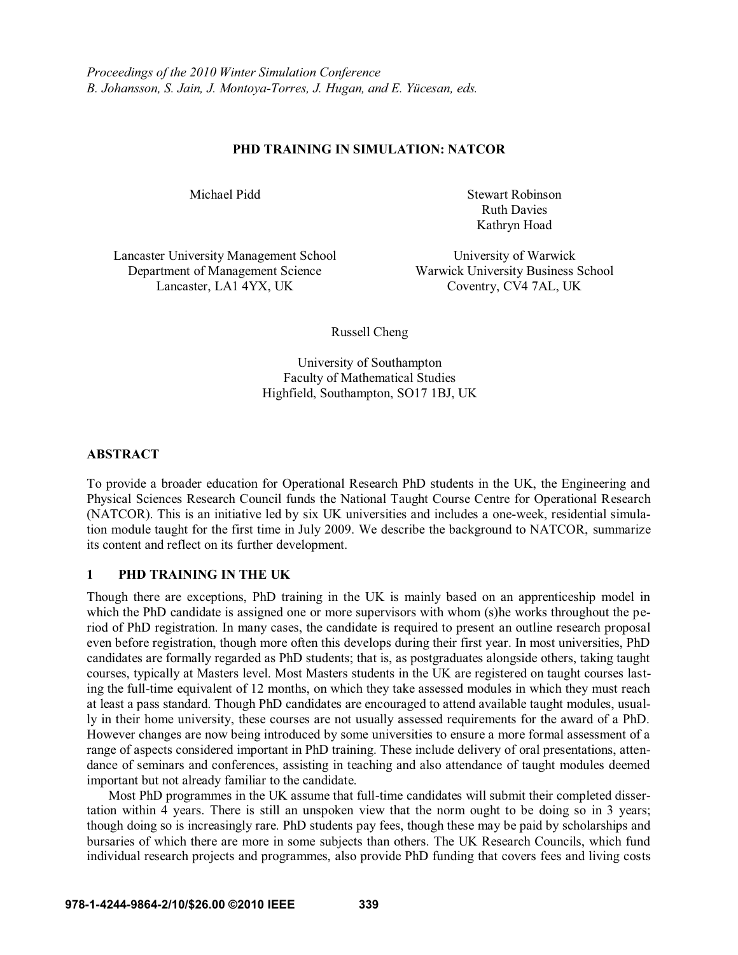#### **PHD TRAINING IN SIMULATION: NATCOR**

Michael Pidd Stewart Robinson Ruth Davies Kathryn Hoad

Lancaster University Management School Department of Management Science Lancaster, LA1 4YX, UK Coventry, CV4 7AL, UK

University of Warwick Warwick University Business School

Russell Cheng

University of Southampton Faculty of Mathematical Studies Highfield, Southampton, SO17 1BJ, UK

#### **ABSTRACT**

To provide a broader education for Operational Research PhD students in the UK, the Engineering and Physical Sciences Research Council funds the National Taught Course Centre for Operational Research (NATCOR). This is an initiative led by six UK universities and includes a one-week, residential simulation module taught for the first time in July 2009. We describe the background to NATCOR, summarize its content and reflect on its further development.

#### **1 PHD TRAINING IN THE UK**

Though there are exceptions, PhD training in the UK is mainly based on an apprenticeship model in which the PhD candidate is assigned one or more supervisors with whom (s) he works throughout the period of PhD registration. In many cases, the candidate is required to present an outline research proposal even before registration, though more often this develops during their first year. In most universities, PhD candidates are formally regarded as PhD students; that is, as postgraduates alongside others, taking taught courses, typically at Masters level. Most Masters students in the UK are registered on taught courses lasting the full-time equivalent of 12 months, on which they take assessed modules in which they must reach at least a pass standard. Though PhD candidates are encouraged to attend available taught modules, usually in their home university, these courses are not usually assessed requirements for the award of a PhD. However changes are now being introduced by some universities to ensure a more formal assessment of a range of aspects considered important in PhD training. These include delivery of oral presentations, attendance of seminars and conferences, assisting in teaching and also attendance of taught modules deemed important but not already familiar to the candidate.

Most PhD programmes in the UK assume that full-time candidates will submit their completed dissertation within 4 years. There is still an unspoken view that the norm ought to be doing so in 3 years; though doing so is increasingly rare. PhD students pay fees, though these may be paid by scholarships and bursaries of which there are more in some subjects than others. The UK Research Councils, which fund individual research projects and programmes, also provide PhD funding that covers fees and living costs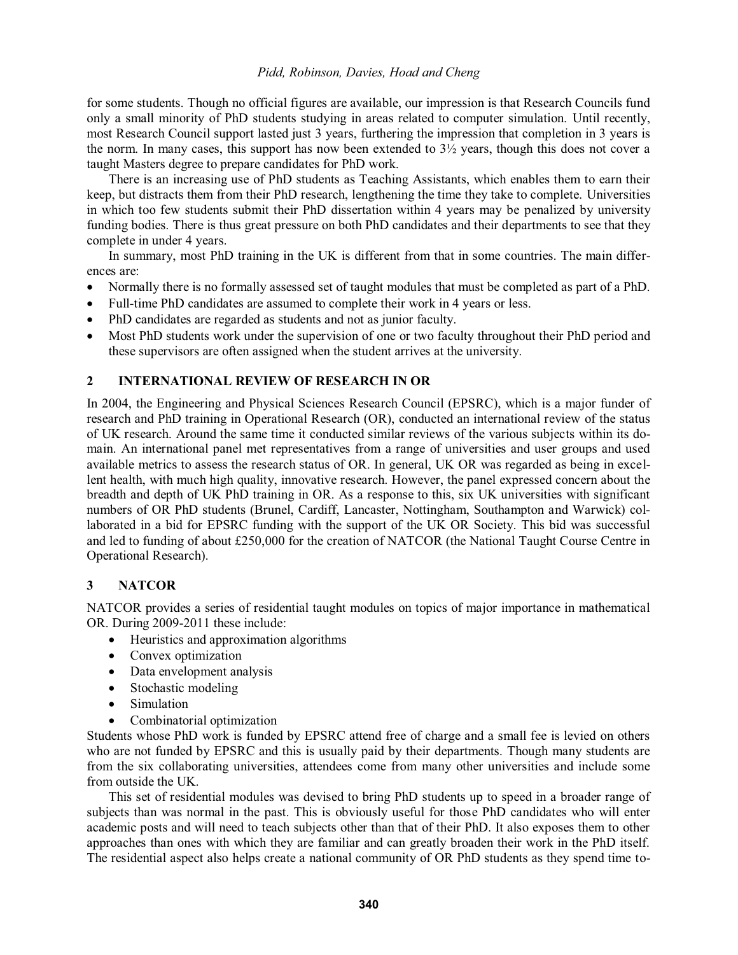for some students. Though no official figures are available, our impression is that Research Councils fund only a small minority of PhD students studying in areas related to computer simulation. Until recently, most Research Council support lasted just 3 years, furthering the impression that completion in 3 years is the norm. In many cases, this support has now been extended to 3½ years, though this does not cover a taught Masters degree to prepare candidates for PhD work.

There is an increasing use of PhD students as Teaching Assistants, which enables them to earn their keep, but distracts them from their PhD research, lengthening the time they take to complete. Universities in which too few students submit their PhD dissertation within 4 years may be penalized by university funding bodies. There is thus great pressure on both PhD candidates and their departments to see that they complete in under 4 years.

In summary, most PhD training in the UK is different from that in some countries. The main differences are:

- $\bullet$ Normally there is no formally assessed set of taught modules that must be completed as part of a PhD.
- -Full-time PhD candidates are assumed to complete their work in 4 years or less.
- -PhD candidates are regarded as students and not as junior faculty.
- $\bullet$  Most PhD students work under the supervision of one or two faculty throughout their PhD period and these supervisors are often assigned when the student arrives at the university.

# **2 INTERNATIONAL REVIEW OF RESEARCH IN OR**

In 2004, the Engineering and Physical Sciences Research Council (EPSRC), which is a major funder of research and PhD training in Operational Research (OR), conducted an international review of the status of UK research. Around the same time it conducted similar reviews of the various subjects within its domain. An international panel met representatives from a range of universities and user groups and used available metrics to assess the research status of OR. In general, UK OR was regarded as being in excellent health, with much high quality, innovative research. However, the panel expressed concern about the breadth and depth of UK PhD training in OR. As a response to this, six UK universities with significant numbers of OR PhD students (Brunel, Cardiff, Lancaster, Nottingham, Southampton and Warwick) collaborated in a bid for EPSRC funding with the support of the UK OR Society. This bid was successful and led to funding of about £250,000 for the creation of NATCOR (the National Taught Course Centre in Operational Research).

# **3 NATCOR**

NATCOR provides a series of residential taught modules on topics of major importance in mathematical OR. During 2009-2011 these include:

- Heuristics and approximation algorithms
- Convex optimization
- Data envelopment analysis
- Stochastic modeling
- $\bullet$ Simulation
- $\bullet$ Combinatorial optimization

Students whose PhD work is funded by EPSRC attend free of charge and a small fee is levied on others who are not funded by EPSRC and this is usually paid by their departments. Though many students are from the six collaborating universities, attendees come from many other universities and include some from outside the UK.

This set of residential modules was devised to bring PhD students up to speed in a broader range of subjects than was normal in the past. This is obviously useful for those PhD candidates who will enter academic posts and will need to teach subjects other than that of their PhD. It also exposes them to other approaches than ones with which they are familiar and can greatly broaden their work in the PhD itself. The residential aspect also helps create a national community of OR PhD students as they spend time to-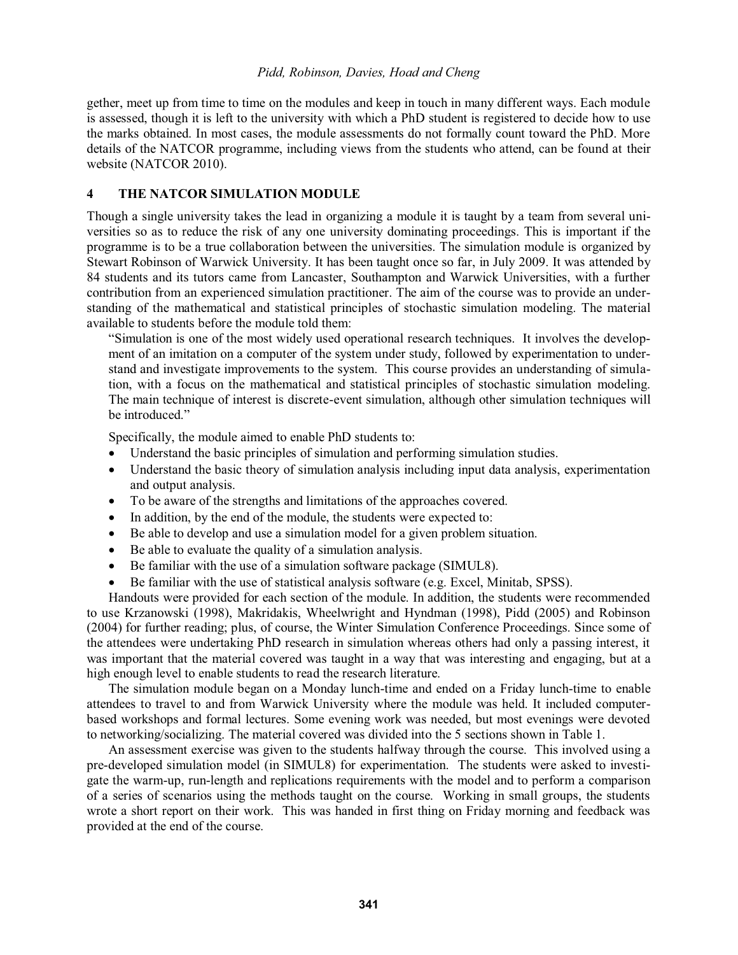gether, meet up from time to time on the modules and keep in touch in many different ways. Each module is assessed, though it is left to the university with which a PhD student is registered to decide how to use the marks obtained. In most cases, the module assessments do not formally count toward the PhD. More details of the NATCOR programme, including views from the students who attend, can be found at their website (NATCOR 2010).

## **4 THE NATCOR SIMULATION MODULE**

Though a single university takes the lead in organizing a module it is taught by a team from several universities so as to reduce the risk of any one university dominating proceedings. This is important if the programme is to be a true collaboration between the universities. The simulation module is organized by Stewart Robinson of Warwick University. It has been taught once so far, in July 2009. It was attended by 84 students and its tutors came from Lancaster, Southampton and Warwick Universities, with a further contribution from an experienced simulation practitioner. The aim of the course was to provide an understanding of the mathematical and statistical principles of stochastic simulation modeling. The material available to students before the module told them:

"Simulation is one of the most widely used operational research techniques. It involves the development of an imitation on a computer of the system under study, followed by experimentation to understand and investigate improvements to the system. This course provides an understanding of simulation, with a focus on the mathematical and statistical principles of stochastic simulation modeling. The main technique of interest is discrete-event simulation, although other simulation techniques will be introduced."

Specifically, the module aimed to enable PhD students to:

- Understand the basic principles of simulation and performing simulation studies.
- $\bullet$  Understand the basic theory of simulation analysis including input data analysis, experimentation and output analysis.
- To be aware of the strengths and limitations of the approaches covered.
- In addition, by the end of the module, the students were expected to:
- Be able to develop and use a simulation model for a given problem situation.
- -Be able to evaluate the quality of a simulation analysis.
- $\bullet$ Be familiar with the use of a simulation software package (SIMUL8).
- $\bullet$ Be familiar with the use of statistical analysis software (e.g. Excel, Minitab, SPSS).

Handouts were provided for each section of the module. In addition, the students were recommended to use Krzanowski (1998), Makridakis, Wheelwright and Hyndman (1998), Pidd (2005) and Robinson (2004) for further reading; plus, of course, the Winter Simulation Conference Proceedings. Since some of the attendees were undertaking PhD research in simulation whereas others had only a passing interest, it was important that the material covered was taught in a way that was interesting and engaging, but at a high enough level to enable students to read the research literature.

The simulation module began on a Monday lunch-time and ended on a Friday lunch-time to enable attendees to travel to and from Warwick University where the module was held. It included computerbased workshops and formal lectures. Some evening work was needed, but most evenings were devoted to networking/socializing. The material covered was divided into the 5 sections shown in Table 1.

An assessment exercise was given to the students halfway through the course. This involved using a pre-developed simulation model (in SIMUL8) for experimentation. The students were asked to investigate the warm-up, run-length and replications requirements with the model and to perform a comparison of a series of scenarios using the methods taught on the course. Working in small groups, the students wrote a short report on their work. This was handed in first thing on Friday morning and feedback was provided at the end of the course.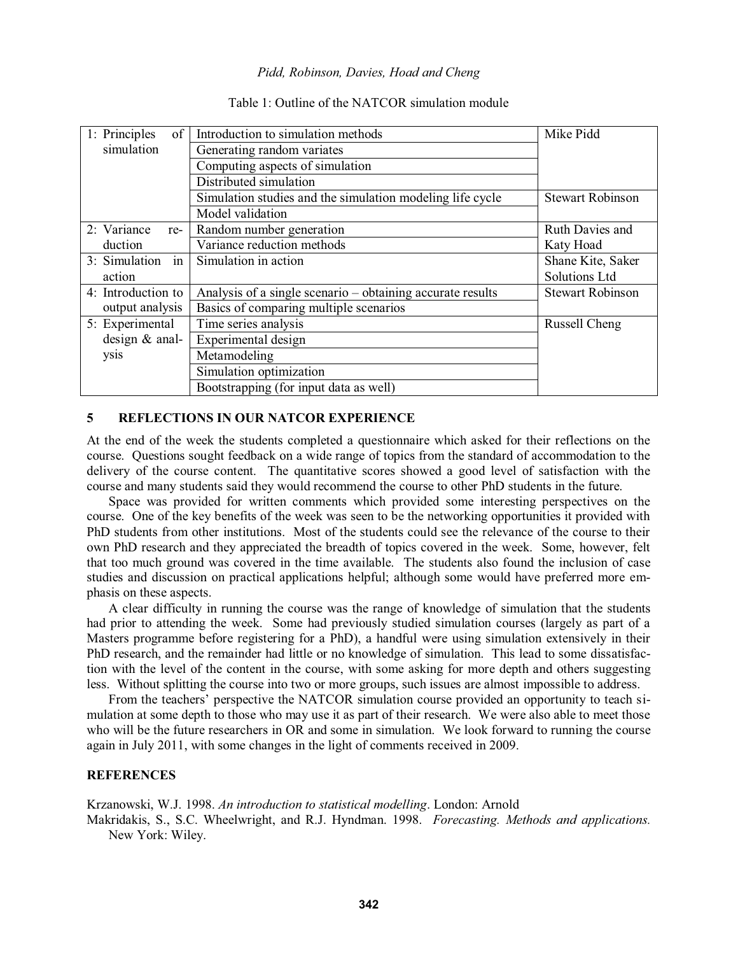| 1: Principles<br>of | Introduction to simulation methods                         | Mike Pidd               |
|---------------------|------------------------------------------------------------|-------------------------|
| simulation          | Generating random variates                                 |                         |
|                     | Computing aspects of simulation                            |                         |
|                     | Distributed simulation                                     |                         |
|                     | Simulation studies and the simulation modeling life cycle  | <b>Stewart Robinson</b> |
|                     | Model validation                                           |                         |
| 2: Variance<br>re-  | Random number generation                                   | Ruth Davies and         |
| duction             | Variance reduction methods                                 | Katy Hoad               |
| in<br>3: Simulation | Simulation in action                                       | Shane Kite, Saker       |
| action              |                                                            | Solutions Ltd           |
| 4: Introduction to  | Analysis of a single scenario – obtaining accurate results | <b>Stewart Robinson</b> |
| output analysis     | Basics of comparing multiple scenarios                     |                         |
| 5: Experimental     | Time series analysis                                       | Russell Cheng           |
| design $&$ anal-    | Experimental design                                        |                         |
| ysis                | Metamodeling                                               |                         |
|                     | Simulation optimization                                    |                         |
|                     | Bootstrapping (for input data as well)                     |                         |

### Table 1: Outline of the NATCOR simulation module

### **5 REFLECTIONS IN OUR NATCOR EXPERIENCE**

At the end of the week the students completed a questionnaire which asked for their reflections on the course. Questions sought feedback on a wide range of topics from the standard of accommodation to the delivery of the course content. The quantitative scores showed a good level of satisfaction with the course and many students said they would recommend the course to other PhD students in the future.

Space was provided for written comments which provided some interesting perspectives on the course. One of the key benefits of the week was seen to be the networking opportunities it provided with PhD students from other institutions. Most of the students could see the relevance of the course to their own PhD research and they appreciated the breadth of topics covered in the week. Some, however, felt that too much ground was covered in the time available. The students also found the inclusion of case studies and discussion on practical applications helpful; although some would have preferred more emphasis on these aspects.

A clear difficulty in running the course was the range of knowledge of simulation that the students had prior to attending the week. Some had previously studied simulation courses (largely as part of a Masters programme before registering for a PhD), a handful were using simulation extensively in their PhD research, and the remainder had little or no knowledge of simulation. This lead to some dissatisfaction with the level of the content in the course, with some asking for more depth and others suggesting less. Without splitting the course into two or more groups, such issues are almost impossible to address.

From the teachers' perspective the NATCOR simulation course provided an opportunity to teach simulation at some depth to those who may use it as part of their research. We were also able to meet those who will be the future researchers in OR and some in simulation. We look forward to running the course again in July 2011, with some changes in the light of comments received in 2009.

## **REFERENCES**

Krzanowski, W.J. 1998. *An introduction to statistical modelling*. London: Arnold

Makridakis, S., S.C. Wheelwright, and R.J. Hyndman. 1998. *Forecasting. Methods and applications.*  New York: Wiley.